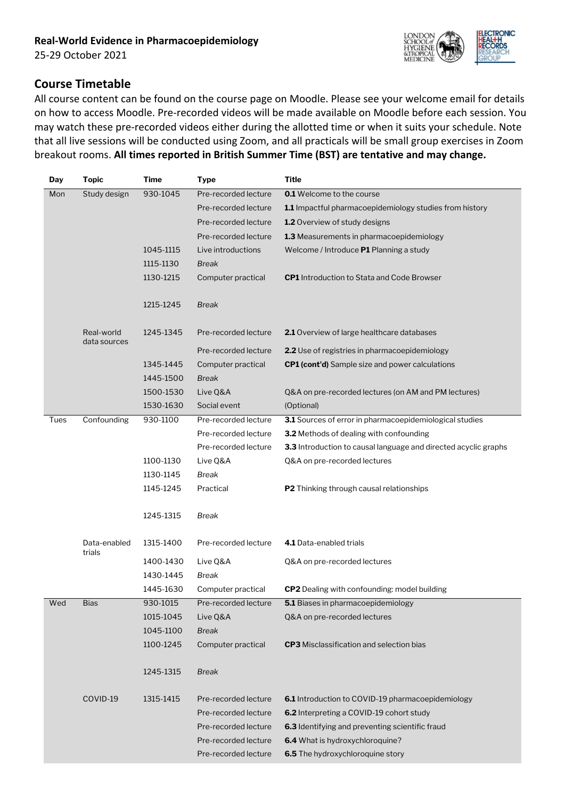

## **Course Timetable**

All course content can be found on the course page on Moodle. Please see your welcome email for details on how to access Moodle. Pre-recorded videos will be made available on Moodle before each session. You may watch these pre-recorded videos either during the allotted time or when it suits your schedule. Note that all live sessions will be conducted using Zoom, and all practicals will be small group exercises in Zoom breakout rooms. **All times reported in British Summer Time (BST) are tentative and may change.**

| Day  | <b>Topic</b>               | Time      | <b>Type</b>                                  | <b>Title</b>                                                                                         |
|------|----------------------------|-----------|----------------------------------------------|------------------------------------------------------------------------------------------------------|
| Mon  | Study design               | 930-1045  | Pre-recorded lecture                         | <b>0.1</b> Welcome to the course                                                                     |
|      |                            |           | Pre-recorded lecture                         | 1.1 Impactful pharmacoepidemiology studies from history                                              |
|      |                            |           | Pre-recorded lecture                         | <b>1.2</b> Overview of study designs                                                                 |
|      |                            |           | Pre-recorded lecture                         | 1.3 Measurements in pharmacoepidemiology                                                             |
|      |                            | 1045-1115 | Live introductions                           | Welcome / Introduce P1 Planning a study                                                              |
|      |                            | 1115-1130 | <b>Break</b>                                 |                                                                                                      |
|      |                            | 1130-1215 | Computer practical                           | <b>CP1</b> Introduction to Stata and Code Browser                                                    |
|      |                            |           |                                              |                                                                                                      |
|      |                            | 1215-1245 | <b>Break</b>                                 |                                                                                                      |
|      |                            |           |                                              |                                                                                                      |
|      | Real-world<br>data sources | 1245-1345 | Pre-recorded lecture                         | <b>2.1</b> Overview of large healthcare databases                                                    |
|      |                            |           | Pre-recorded lecture                         | 2.2 Use of registries in pharmacoepidemiology                                                        |
|      |                            | 1345-1445 | Computer practical                           | CP1 (cont'd) Sample size and power calculations                                                      |
|      |                            | 1445-1500 | Break                                        |                                                                                                      |
|      |                            | 1500-1530 | Live Q&A                                     | Q&A on pre-recorded lectures (on AM and PM lectures)                                                 |
|      |                            | 1530-1630 | Social event                                 | (Optional)                                                                                           |
| Tues | Confounding                | 930-1100  | Pre-recorded lecture                         | 3.1 Sources of error in pharmacoepidemiological studies                                              |
|      |                            |           | Pre-recorded lecture                         | 3.2 Methods of dealing with confounding                                                              |
|      |                            |           | Pre-recorded lecture                         | 3.3 Introduction to causal language and directed acyclic graphs                                      |
|      |                            | 1100-1130 | Live Q&A                                     | Q&A on pre-recorded lectures                                                                         |
|      |                            | 1130-1145 | Break                                        |                                                                                                      |
|      |                            | 1145-1245 | Practical                                    | P2 Thinking through causal relationships                                                             |
|      |                            |           |                                              |                                                                                                      |
|      |                            | 1245-1315 | Break                                        |                                                                                                      |
|      |                            |           |                                              |                                                                                                      |
|      | Data-enabled<br>trials     | 1315-1400 | Pre-recorded lecture                         | 4.1 Data-enabled trials                                                                              |
|      |                            | 1400-1430 | Live Q&A                                     | Q&A on pre-recorded lectures                                                                         |
|      |                            | 1430-1445 | Break                                        |                                                                                                      |
|      |                            | 1445-1630 | Computer practical                           | CP2 Dealing with confounding: model building                                                         |
| Wed  | <b>Bias</b>                | 930-1015  | Pre-recorded lecture                         | 5.1 Biases in pharmacoepidemiology                                                                   |
|      |                            | 1015-1045 | Live Q&A                                     | Q&A on pre-recorded lectures                                                                         |
|      |                            | 1045-1100 | <b>Break</b>                                 |                                                                                                      |
|      |                            | 1100-1245 | Computer practical                           | <b>CP3</b> Misclassification and selection bias                                                      |
|      |                            |           |                                              |                                                                                                      |
|      |                            | 1245-1315 | <b>Break</b>                                 |                                                                                                      |
|      |                            |           |                                              |                                                                                                      |
|      | COVID-19                   | 1315-1415 | Pre-recorded lecture<br>Pre-recorded lecture | <b>6.1</b> Introduction to COVID-19 pharmacoepidemiology<br>6.2 Interpreting a COVID-19 cohort study |
|      |                            |           | Pre-recorded lecture                         | 6.3 Identifying and preventing scientific fraud                                                      |
|      |                            |           | Pre-recorded lecture                         | 6.4 What is hydroxychloroquine?                                                                      |
|      |                            |           | Pre-recorded lecture                         | 6.5 The hydroxychloroquine story                                                                     |
|      |                            |           |                                              |                                                                                                      |